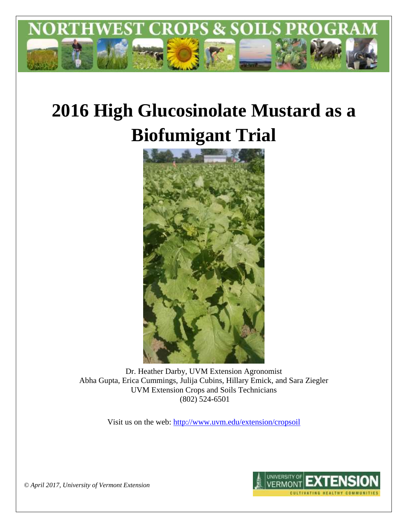

# **2016 High Glucosinolate Mustard as a Biofumigant Trial**



Dr. Heather Darby, UVM Extension Agronomist Abha Gupta, Erica Cummings, Julija Cubins, Hillary Emick, and Sara Ziegler UVM Extension Crops and Soils Technicians (802) 524-6501

Visit us on the web:<http://www.uvm.edu/extension/cropsoil>



*© April 2017, University of Vermont Extension*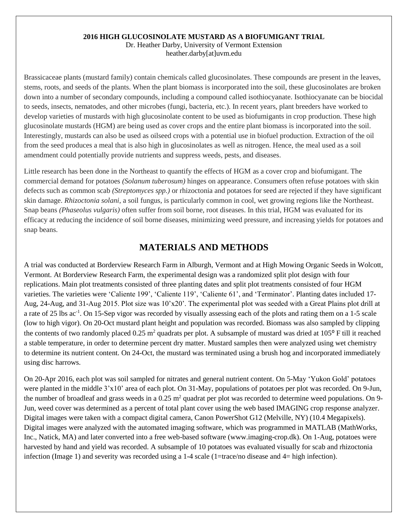#### **2016 HIGH GLUCOSINOLATE MUSTARD AS A BIOFUMIGANT TRIAL**

Dr. Heather Darby, University of Vermont Extension heather.darby[at]uvm.edu

Brassicaceae plants (mustard family) contain chemicals called glucosinolates. These compounds are present in the leaves, stems, roots, and seeds of the plants. When the plant biomass is incorporated into the soil, these glucosinolates are broken down into a number of secondary compounds, including a compound called isothiocyanate. Isothiocyanate can be biocidal to seeds, insects, nematodes, and other microbes (fungi, bacteria, etc.). In recent years, plant breeders have worked to develop varieties of mustards with high glucosinolate content to be used as biofumigants in crop production. These high glucosinolate mustards (HGM) are being used as cover crops and the entire plant biomass is incorporated into the soil. Interestingly, mustards can also be used as oilseed crops with a potential use in biofuel production. Extraction of the oil from the seed produces a meal that is also high in glucosinolates as well as nitrogen. Hence, the meal used as a soil amendment could potentially provide nutrients and suppress weeds, pests, and diseases.

Little research has been done in the Northeast to quantify the effects of HGM as a cover crop and biofumigant. The commercial demand for potatoes *(Solanum tuberosum)* hinges on appearance. Consumers often refuse potatoes with skin defects such as common scab *(Streptomyces spp.)* or rhizoctonia and potatoes for seed are rejected if they have significant skin damage. *Rhizoctonia solani*, a soil fungus, is particularly common in cool, wet growing regions like the Northeast. Snap beans *(Phaseolus vulgaris)* often suffer from soil borne, root diseases. In this trial, HGM was evaluated for its efficacy at reducing the incidence of soil borne diseases, minimizing weed pressure, and increasing yields for potatoes and snap beans.

## **MATERIALS AND METHODS**

A trial was conducted at Borderview Research Farm in Alburgh, Vermont and at High Mowing Organic Seeds in Wolcott, Vermont. At Borderview Research Farm, the experimental design was a randomized split plot design with four replications. Main plot treatments consisted of three planting dates and split plot treatments consisted of four HGM varieties. The varieties were 'Caliente 199', 'Caliente 119', 'Caliente 61', and 'Terminator'. Planting dates included 17- Aug, 24-Aug, and 31-Aug 2015. Plot size was 10'x20'. The experimental plot was seeded with a Great Plains plot drill at a rate of 25 lbs ac<sup>-1</sup>. On 15-Sep vigor was recorded by visually assessing each of the plots and rating them on a 1-5 scale (low to high vigor). On 20-Oct mustard plant height and population was recorded. Biomass was also sampled by clipping the contents of two randomly placed  $0.25 \text{ m}^2$  quadrats per plot. A subsample of mustard was dried at 105 $\degree$ F till it reached a stable temperature, in order to determine percent dry matter. Mustard samples then were analyzed using wet chemistry to determine its nutrient content. On 24-Oct, the mustard was terminated using a brush hog and incorporated immediately using disc harrows.

On 20-Apr 2016, each plot was soil sampled for nitrates and general nutrient content. On 5-May 'Yukon Gold' potatoes were planted in the middle 3'x10' area of each plot. On 31-May, populations of potatoes per plot was recorded. On 9-Jun, the number of broadleaf and grass weeds in a  $0.25$  m<sup>2</sup> quadrat per plot was recorded to determine weed populations. On 9-Jun, weed cover was determined as a percent of total plant cover using the web based IMAGING crop response analyzer. Digital images were taken with a compact digital camera, Canon PowerShot G12 (Melville, NY) (10.4 Megapixels). Digital images were analyzed with the automated imaging software, which was programmed in MATLAB (MathWorks, Inc., Natick, MA) and later converted into a free web-based software [\(www.imaging-crop.dk\)](http://www.imaging-crop.dk/). On 1-Aug, potatoes were harvested by hand and yield was recorded. A subsample of 10 potatoes was evaluated visually for scab and rhizoctonia infection (Image 1) and severity was recorded using a 1-4 scale (1=trace/no disease and 4= high infection).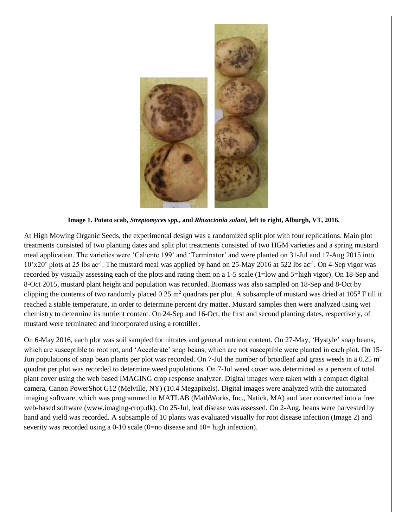

**Image 1. Potato scab,** *Streptomyces spp.***, and** *Rhizoctonia solani,* **left to right, Alburgh, VT, 2016.** 

At High Mowing Organic Seeds, the experimental design was a randomized split plot with four replications. Main plot treatments consisted of two planting dates and split plot treatments consisted of two HGM varieties and a spring mustard meal application. The varieties were 'Caliente 199' and 'Terminator' and were planted on 31-Jul and 17-Aug 2015 into 10'x20' plots at 25 lbs ac<sup>-1</sup>. The mustard meal was applied by hand on 25-May 2016 at 522 lbs ac<sup>-1</sup>. On 4-Sep vigor was recorded by visually assessing each of the plots and rating them on a 1-5 scale (1=low and 5=high vigor). On 18-Sep and 8-Oct 2015, mustard plant height and population was recorded. Biomass was also sampled on 18-Sep and 8-Oct by clipping the contents of two randomly placed  $0.25 \text{ m}^2$  quadrats per plot. A subsample of mustard was dried at  $105^\circ$  F till it reached a stable temperature, in order to determine percent dry matter. Mustard samples then were analyzed using wet chemistry to determine its nutrient content. On 24-Sep and 16-Oct, the first and second planting dates, respectively, of mustard were terminated and incorporated using a rototiller.

On 6-May 2016, each plot was soil sampled for nitrates and general nutrient content. On 27-May, 'Hystyle' snap beans, which are susceptible to root rot, and 'Accelerate' snap beans, which are not susceptible were planted in each plot. On 15-Jun populations of snap bean plants per plot was recorded. On 7-Jul the number of broadleaf and grass weeds in a  $0.25 \text{ m}^2$ quadrat per plot was recorded to determine weed populations. On 7-Jul weed cover was determined as a percent of total plant cover using the web based IMAGING crop response analyzer. Digital images were taken with a compact digital camera, Canon PowerShot G12 (Melville, NY) (10.4 Megapixels). Digital images were analyzed with the automated imaging software, which was programmed in MATLAB (MathWorks, Inc., Natick, MA) and later converted into a free web-based software [\(www.imaging-crop.dk\)](http://www.imaging-crop.dk/). On 25-Jul, leaf disease was assessed. On 2-Aug, beans were harvested by hand and yield was recorded. A subsample of 10 plants was evaluated visually for root disease infection (Image 2) and severity was recorded using a 0-10 scale (0=no disease and  $10=$  high infection).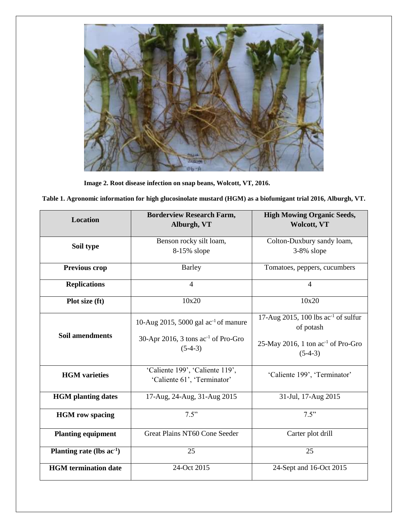

**Image 2. Root disease infection on snap beans, Wolcott, VT, 2016.**

| Table 1. Agronomic information for high glucosinolate mustard (HGM) as a biofumigant trial 2016, Alburgh, VT. |  |  |
|---------------------------------------------------------------------------------------------------------------|--|--|
|                                                                                                               |  |  |

| <b>Location</b>                | <b>Borderview Research Farm,</b><br>Alburgh, VT                                                    | <b>High Mowing Organic Seeds,</b><br><b>Wolcott, VT</b>                                                              |  |
|--------------------------------|----------------------------------------------------------------------------------------------------|----------------------------------------------------------------------------------------------------------------------|--|
| Soil type                      | Benson rocky silt loam,<br>8-15% slope                                                             | Colton-Duxbury sandy loam,<br>3-8% slope                                                                             |  |
| Previous crop                  | <b>Barley</b>                                                                                      | Tomatoes, peppers, cucumbers                                                                                         |  |
| <b>Replications</b>            | $\overline{4}$                                                                                     | $\overline{4}$                                                                                                       |  |
| Plot size (ft)                 | 10x20                                                                                              | 10x20                                                                                                                |  |
| <b>Soil amendments</b>         | 10-Aug 2015, 5000 gal $ac^{-1}$ of manure<br>30-Apr 2016, 3 tons $ac^{-1}$ of Pro-Gro<br>$(5-4-3)$ | 17-Aug 2015, 100 lbs $ac^{-1}$ of sulfur<br>of potash<br>25-May 2016, 1 ton ac <sup>-1</sup> of Pro-Gro<br>$(5-4-3)$ |  |
| <b>HGM</b> varieties           | 'Caliente 199', 'Caliente 119',<br>'Caliente 61', 'Terminator'                                     | 'Caliente 199', 'Terminator'                                                                                         |  |
| <b>HGM</b> planting dates      | 17-Aug, 24-Aug, 31-Aug 2015                                                                        | 31-Jul, 17-Aug 2015                                                                                                  |  |
| <b>HGM</b> row spacing         | 7.5"                                                                                               | 7.5"                                                                                                                 |  |
| <b>Planting equipment</b>      | Great Plains NT60 Cone Seeder                                                                      | Carter plot drill                                                                                                    |  |
| Planting rate (lbs $ac^{-1}$ ) | 25                                                                                                 | 25                                                                                                                   |  |
| <b>HGM</b> termination date    | 24-Oct 2015                                                                                        | 24-Sept and 16-Oct 2015                                                                                              |  |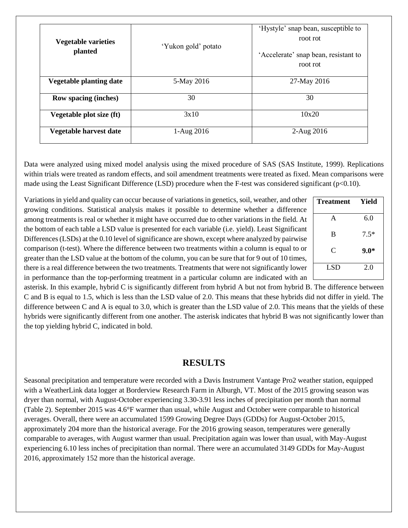| <b>Vegetable varieties</b><br>planted | 'Yukon gold' potato | 'Hystyle' snap bean, susceptible to<br>root rot<br>'Accelerate' snap bean, resistant to<br>root rot |  |  |
|---------------------------------------|---------------------|-----------------------------------------------------------------------------------------------------|--|--|
| <b>Vegetable planting date</b>        | 5-May 2016          | 27-May 2016                                                                                         |  |  |
| <b>Row spacing (inches)</b>           | 30                  | 30                                                                                                  |  |  |
| Vegetable plot size (ft)              | 3x10                | 10x20                                                                                               |  |  |
| Vegetable harvest date                | 1-Aug 2016          | 2-Aug 2016                                                                                          |  |  |

Data were analyzed using mixed model analysis using the mixed procedure of SAS (SAS Institute, 1999). Replications within trials were treated as random effects, and soil amendment treatments were treated as fixed. Mean comparisons were made using the Least Significant Difference (LSD) procedure when the F-test was considered significant (p<0.10).

Variations in yield and quality can occur because of variations in genetics, soil, weather, and other growing conditions. Statistical analysis makes it possible to determine whether a difference among treatments is real or whether it might have occurred due to other variations in the field. At the bottom of each table a LSD value is presented for each variable (i.e. yield). Least Significant Differences (LSDs) at the 0.10 level of significance are shown, except where analyzed by pairwise comparison (t-test). Where the difference between two treatments within a column is equal to or greater than the LSD value at the bottom of the column, you can be sure that for 9 out of 10 times, there is a real difference between the two treatments. Treatments that were not significantly lower in performance than the top-performing treatment in a particular column are indicated with an

| <b>Treatment</b> | Yield  |
|------------------|--------|
| A                | 6.0    |
| B                | $7.5*$ |
| C                | $9.0*$ |
| LSD              | 2.0    |

asterisk. In this example, hybrid C is significantly different from hybrid A but not from hybrid B. The difference between C and B is equal to 1.5, which is less than the LSD value of 2.0. This means that these hybrids did not differ in yield. The difference between C and A is equal to 3.0, which is greater than the LSD value of 2.0. This means that the yields of these hybrids were significantly different from one another. The asterisk indicates that hybrid B was not significantly lower than the top yielding hybrid C, indicated in bold.

## **RESULTS**

Seasonal precipitation and temperature were recorded with a Davis Instrument Vantage Pro2 weather station, equipped with a WeatherLink data logger at Borderview Research Farm in Alburgh, VT. Most of the 2015 growing season was dryer than normal, with August-October experiencing 3.30-3.91 less inches of precipitation per month than normal (Table 2). September 2015 was 4.6°F warmer than usual, while August and October were comparable to historical averages. Overall, there were an accumulated 1599 Growing Degree Days (GDDs) for August-October 2015, approximately 204 more than the historical average. For the 2016 growing season, temperatures were generally comparable to averages, with August warmer than usual. Precipitation again was lower than usual, with May-August experiencing 6.10 less inches of precipitation than normal. There were an accumulated 3149 GDDs for May-August 2016, approximately 152 more than the historical average.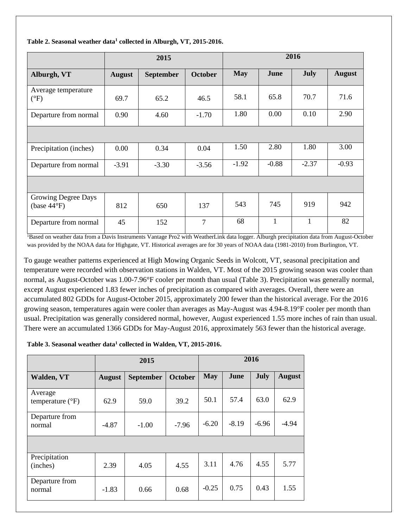|                                              |               | 2015             |                |            | 2016    |             |               |  |
|----------------------------------------------|---------------|------------------|----------------|------------|---------|-------------|---------------|--|
| Alburgh, VT                                  | <b>August</b> | <b>September</b> | <b>October</b> | <b>May</b> | June    | <b>July</b> | <b>August</b> |  |
| Average temperature<br>$(^{\circ}F)$         | 69.7          | 65.2             | 46.5           | 58.1       | 65.8    | 70.7        | 71.6          |  |
| Departure from normal                        | 0.90          | 4.60             | $-1.70$        | 1.80       | 0.00    | 0.10        | 2.90          |  |
|                                              |               |                  |                |            |         |             |               |  |
| Precipitation (inches)                       | 0.00          | 0.34             | 0.04           | 1.50       | 2.80    | 1.80        | 3.00          |  |
| Departure from normal                        | $-3.91$       | $-3.30$          | $-3.56$        | $-1.92$    | $-0.88$ | $-2.37$     | $-0.93$       |  |
|                                              |               |                  |                |            |         |             |               |  |
| Growing Degree Days<br>(base $44^{\circ}F$ ) | 812           | 650              | 137            | 543        | 745     | 919         | 942           |  |
| Departure from normal                        | 45            | 152              | $\overline{7}$ | 68         | 1       | 1           | 82            |  |

#### **Table 2. Seasonal weather data<sup>1</sup> collected in Alburgh, VT, 2015-2016.**

<sup>1</sup>Based on weather data from a Davis Instruments Vantage Pro2 with WeatherLink data logger. Alburgh precipitation data from August-October was provided by the NOAA data for Highgate, VT. Historical averages are for 30 years of NOAA data (1981-2010) from Burlington, VT.

To gauge weather patterns experienced at High Mowing Organic Seeds in Wolcott, VT, seasonal precipitation and temperature were recorded with observation stations in Walden, VT. Most of the 2015 growing season was cooler than normal, as August-October was 1.00-7.96°F cooler per month than usual (Table 3). Precipitation was generally normal, except August experienced 1.83 fewer inches of precipitation as compared with averages. Overall, there were an accumulated 802 GDDs for August-October 2015, approximately 200 fewer than the historical average. For the 2016 growing season, temperatures again were cooler than averages as May-August was 4.94-8.19°F cooler per month than usual. Precipitation was generally considered normal, however, August experienced 1.55 more inches of rain than usual. There were an accumulated 1366 GDDs for May-August 2016, approximately 563 fewer than the historical average.

#### **Table 3. Seasonal weather data<sup>1</sup> collected in Walden, VT, 2015-2016.**

|                                      |               | 2015             |         | 2016       |         |             |               |
|--------------------------------------|---------------|------------------|---------|------------|---------|-------------|---------------|
| Walden, VT                           | <b>August</b> | <b>September</b> | October | <b>May</b> | June    | <b>July</b> | <b>August</b> |
| Average<br>temperature $(^{\circ}F)$ | 62.9          | 59.0             | 39.2    | 50.1       | 57.4    | 63.0        | 62.9          |
| Departure from<br>normal             | $-4.87$       | $-1.00$          | $-7.96$ | $-6.20$    | $-8.19$ | $-6.96$     | $-4.94$       |
|                                      |               |                  |         |            |         |             |               |
| Precipitation<br>(inches)            | 2.39          | 4.05             | 4.55    | 3.11       | 4.76    | 4.55        | 5.77          |
| Departure from<br>normal             | $-1.83$       | 0.66             | 0.68    | $-0.25$    | 0.75    | 0.43        | 1.55          |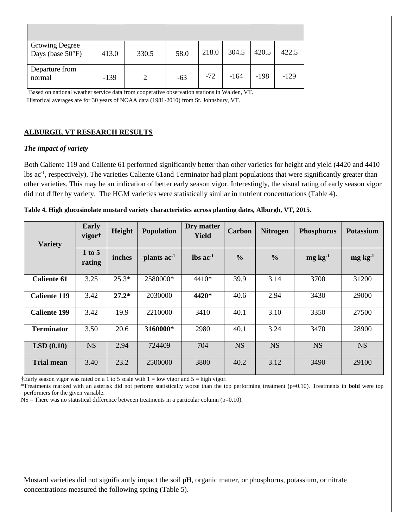| <b>Growing Degree</b><br>Days (base $50^{\circ}$ F) | 413.0  | 330.5 | 58.0  | 218.0 | 304.5  | 420.5  | 422.5  |
|-----------------------------------------------------|--------|-------|-------|-------|--------|--------|--------|
| Departure from<br>normal<br>$1 - 1$                 | $-139$ | 2     | $-63$ | $-72$ | $-164$ | $-198$ | $-129$ |

<sup>1</sup>Based on national weather service data from cooperative observation stations in Walden, VT. Historical averages are for 30 years of NOAA data (1981-2010) from St. Johnsbury, VT.

## **ALBURGH, VT RESEARCH RESULTS**

## *The impact of variety*

Both Caliente 119 and Caliente 61 performed significantly better than other varieties for height and yield (4420 and 4410 lbs ac<sup>-1</sup>, respectively). The varieties Caliente 61 and Terminator had plant populations that were significantly greater than other varieties. This may be an indication of better early season vigor. Interestingly, the visual rating of early season vigor did not differ by variety. The HGM varieties were statistically similar in nutrient concentrations (Table 4).

| <b>Variety</b>      | Early<br>vigor <sup>+</sup> | Height  | <b>Population</b>       | Dry matter<br><b>Yield</b> | Carbon        | <b>Nitrogen</b> | <b>Phosphorus</b> | <b>Potassium</b> |
|---------------------|-----------------------------|---------|-------------------------|----------------------------|---------------|-----------------|-------------------|------------------|
|                     | 1 to 5<br>rating            | inches  | plants ac <sup>-1</sup> | $\ln$ ac <sup>-1</sup>     | $\frac{0}{0}$ | $\frac{6}{6}$   | $mg \, kg^{-1}$   | $mg \, kg^{-1}$  |
| <b>Caliente 61</b>  | 3.25                        | $25.3*$ | 2580000*                | 4410*                      | 39.9          | 3.14            | 3700              | 31200            |
| <b>Caliente 119</b> | 3.42                        | $27.2*$ | 2030000                 | 4420*                      | 40.6          | 2.94            | 3430              | 29000            |
| <b>Caliente 199</b> | 3.42                        | 19.9    | 2210000                 | 3410                       | 40.1          | 3.10            | 3350              | 27500            |
| <b>Terminator</b>   | 3.50                        | 20.6    | 3160000*                | 2980                       | 40.1          | 3.24            | 3470              | 28900            |
| LSD(0.10)           | <b>NS</b>                   | 2.94    | 724409                  | 704                        | <b>NS</b>     | <b>NS</b>       | <b>NS</b>         | <b>NS</b>        |
| <b>Trial mean</b>   | 3.40                        | 23.2    | 2500000                 | 3800                       | 40.2          | 3.12            | 3490              | 29100            |

**Table 4. High glucosinolate mustard variety characteristics across planting dates, Alburgh, VT, 2015.** 

**†**Early season vigor was rated on a 1 to 5 scale with 1 = low vigor and 5 = high vigor.

\*Treatments marked with an asterisk did not perform statistically worse than the top performing treatment (p=0.10). Treatments in **bold** were top performers for the given variable.

NS – There was no statistical difference between treatments in a particular column (p=0.10).

Mustard varieties did not significantly impact the soil pH, organic matter, or phosphorus, potassium, or nitrate concentrations measured the following spring (Table 5).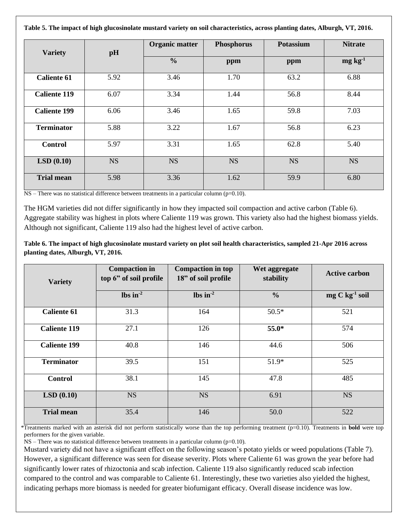**Table 5. The impact of high glucosinolate mustard variety on soil characteristics, across planting dates, Alburgh, VT, 2016.** 

| <b>Variety</b>      | pH        | <b>Organic matter</b> | <b>Phosphorus</b> | Potassium | <b>Nitrate</b>  |
|---------------------|-----------|-----------------------|-------------------|-----------|-----------------|
|                     |           | $\frac{0}{0}$         | ppm               | ppm       | $mg \, kg^{-1}$ |
| <b>Caliente 61</b>  | 5.92      | 3.46                  | 1.70              | 63.2      | 6.88            |
| <b>Caliente 119</b> | 6.07      | 3.34                  | 1.44              | 56.8      | 8.44            |
| <b>Caliente 199</b> | 6.06      | 3.46                  | 1.65              | 59.8      | 7.03            |
| <b>Terminator</b>   | 5.88      | 3.22                  | 1.67              | 56.8      | 6.23            |
| <b>Control</b>      | 5.97      | 3.31                  | 1.65              | 62.8      | 5.40            |
| LSD(0.10)           | <b>NS</b> | <b>NS</b>             | <b>NS</b>         | <b>NS</b> | <b>NS</b>       |
| <b>Trial mean</b>   | 5.98      | 3.36                  | 1.62              | 59.9      | 6.80            |

 $NS$  – There was no statistical difference between treatments in a particular column (p=0.10).

The HGM varieties did not differ significantly in how they impacted soil compaction and active carbon (Table 6). Aggregate stability was highest in plots where Caliente 119 was grown. This variety also had the highest biomass yields. Although not significant, Caliente 119 also had the highest level of active carbon.

**Table 6. The impact of high glucosinolate mustard variety on plot soil health characteristics, sampled 21-Apr 2016 across planting dates, Alburgh, VT, 2016.** 

| <b>Variety</b>      | <b>Compaction</b> in<br>top 6" of soil profile | <b>Compaction in top</b><br>18" of soil profile | Wet aggregate<br>stability | <b>Active carbon</b> |
|---------------------|------------------------------------------------|-------------------------------------------------|----------------------------|----------------------|
|                     | $\ln^{-2}$                                     | lbs in $^{-2}$                                  | $\frac{6}{6}$              | $mg C kg-1 soil$     |
| <b>Caliente 61</b>  | 31.3                                           | 164                                             | $50.5*$                    | 521                  |
| <b>Caliente 119</b> | 27.1                                           | 126                                             | 55.0*                      | 574                  |
| <b>Caliente 199</b> | 40.8                                           | 146                                             | 44.6                       | 506                  |
| <b>Terminator</b>   | 39.5                                           | 151                                             | 51.9*                      | 525                  |
| <b>Control</b>      | 38.1                                           | 145                                             | 47.8                       | 485                  |
| LSD(0.10)           | <b>NS</b>                                      | <b>NS</b>                                       | 6.91                       | <b>NS</b>            |
| <b>Trial mean</b>   | 35.4                                           | 146                                             | 50.0                       | 522                  |

\*Treatments marked with an asterisk did not perform statistically worse than the top performing treatment (p=0.10). Treatments in **bold** were top performers for the given variable.

 $NS$  – There was no statistical difference between treatments in a particular column ( $p=0.10$ ).

Mustard variety did not have a significant effect on the following season's potato yields or weed populations (Table 7). However, a significant difference was seen for disease severity. Plots where Caliente 61 was grown the year before had significantly lower rates of rhizoctonia and scab infection. Caliente 119 also significantly reduced scab infection compared to the control and was comparable to Caliente 61. Interestingly, these two varieties also yielded the highest, indicating perhaps more biomass is needed for greater biofumigant efficacy. Overall disease incidence was low.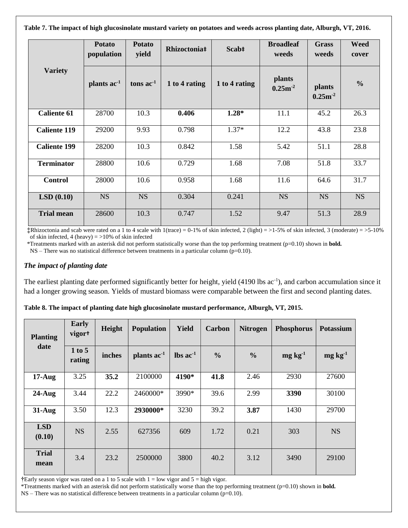**Table 7. The impact of high glucosinolate mustard variety on potatoes and weeds across planting date, Alburgh, VT, 2016.** 

|                     | <b>Potato</b><br>population | <b>Potato</b><br>yield | Rhizoctonia‡  | Scab‡         | <b>Broadleaf</b><br>weeds | <b>Grass</b><br>weeds         | <b>Weed</b><br>cover |
|---------------------|-----------------------------|------------------------|---------------|---------------|---------------------------|-------------------------------|----------------------|
| <b>Variety</b>      | plants ac <sup>-1</sup>     | tons $ac-1$            | 1 to 4 rating | 1 to 4 rating | plants<br>$0.25m^{-2}$    | <b>plants</b><br>$0.25m^{-2}$ | $\frac{0}{0}$        |
| <b>Caliente 61</b>  | 28700                       | 10.3                   | 0.406         | $1.28*$       | 11.1                      | 45.2                          | 26.3                 |
| <b>Caliente 119</b> | 29200                       | 9.93                   | 0.798         | $1.37*$       | 12.2                      | 43.8                          | 23.8                 |
| <b>Caliente 199</b> | 28200                       | 10.3                   | 0.842         | 1.58          | 5.42                      | 51.1                          | 28.8                 |
| <b>Terminator</b>   | 28800                       | 10.6                   | 0.729         | 1.68          | 7.08                      | 51.8                          | 33.7                 |
| <b>Control</b>      | 28000                       | 10.6                   | 0.958         | 1.68          | 11.6                      | 64.6                          | 31.7                 |
| LSD(0.10)           | <b>NS</b>                   | <b>NS</b>              | 0.304         | 0.241         | <b>NS</b>                 | <b>NS</b>                     | <b>NS</b>            |
| <b>Trial mean</b>   | 28600                       | 10.3                   | 0.747         | 1.52          | 9.47                      | 51.3                          | 28.9                 |

**‡**Rhizoctonia and scab were rated on a 1 to 4 scale with 1(trace) =  $0-1\%$  of skin infected, 2 (light) =  $>1-5\%$  of skin infected, 3 (moderate) =  $>5-10\%$ of skin infected, 4 (heavy)  $=$  >10% of skin infected

\*Treatments marked with an asterisk did not perform statistically worse than the top performing treatment (p=0.10) shown in **bold.** 

 $NS$  – There was no statistical difference between treatments in a particular column (p=0.10).

#### *The impact of planting date*

The earliest planting date performed significantly better for height, yield (4190 lbs ac<sup>-1</sup>), and carbon accumulation since it had a longer growing season. Yields of mustard biomass were comparable between the first and second planting dates.

| <b>Planting</b>      | <b>Early</b><br>vigort | Height | <b>Population</b> | <b>Yield</b>                 | Carbon        | <b>Nitrogen</b> | <b>Phosphorus</b> | <b>Potassium</b> |
|----------------------|------------------------|--------|-------------------|------------------------------|---------------|-----------------|-------------------|------------------|
| date                 | 1 to 5<br>rating       | inches | plants $ac-1$     | $\text{lbs} \text{ ac}^{-1}$ | $\frac{0}{0}$ | $\frac{0}{0}$   | $mg \, kg^{-1}$   | $mg \, kg^{-1}$  |
| $17-Aug$             | 3.25                   | 35.2   | 2100000           | 4190*                        | 41.8          | 2.46            | 2930              | 27600            |
| $24$ -Aug            | 3.44                   | 22.2   | 2460000*          | 3990*                        | 39.6          | 2.99            | 3390              | 30100            |
| $31$ -Aug            | 3.50                   | 12.3   | 2930000*          | 3230                         | 39.2          | 3.87            | 1430              | 29700            |
| <b>LSD</b><br>(0.10) | <b>NS</b>              | 2.55   | 627356            | 609                          | 1.72          | 0.21            | 303               | <b>NS</b>        |
| <b>Trial</b><br>mean | 3.4                    | 23.2   | 2500000           | 3800                         | 40.2          | 3.12            | 3490              | 29100            |

**Table 8. The impact of planting date high glucosinolate mustard performance, Alburgh, VT, 2015.** 

**†**Early season vigor was rated on a 1 to 5 scale with 1 = low vigor and 5 = high vigor.

\*Treatments marked with an asterisk did not perform statistically worse than the top performing treatment (p=0.10) shown in **bold.**   $NS$  – There was no statistical difference between treatments in a particular column (p=0.10).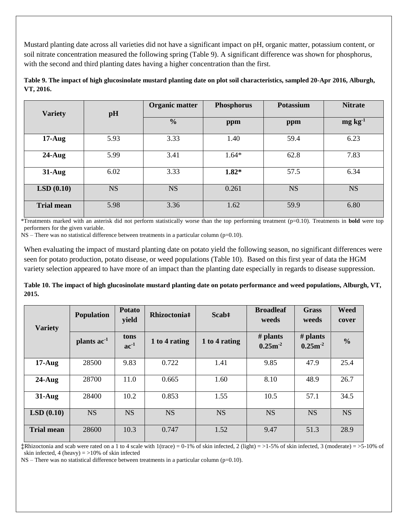Mustard planting date across all varieties did not have a significant impact on pH, organic matter, potassium content, or soil nitrate concentration measured the following spring (Table 9). A significant difference was shown for phosphorus, with the second and third planting dates having a higher concentration than the first.

| <b>Variety</b>    |           | Organic matter<br><b>Phosphorus</b><br>pH |         | <b>Potassium</b> | <b>Nitrate</b>  |  |
|-------------------|-----------|-------------------------------------------|---------|------------------|-----------------|--|
|                   |           | $\frac{0}{0}$                             | ppm     | ppm              | $mg \, kg^{-1}$ |  |
| $17-Aug$          | 5.93      | 3.33                                      | 1.40    | 59.4             | 6.23            |  |
| $24$ -Aug         | 5.99      | 3.41                                      | $1.64*$ | 62.8             | 7.83            |  |
| $31-Aug$          | 6.02      | 3.33                                      | $1.82*$ | 57.5             | 6.34            |  |
| LSD(0.10)         | <b>NS</b> | <b>NS</b>                                 | 0.261   | <b>NS</b>        | <b>NS</b>       |  |
| <b>Trial mean</b> | 5.98      | 3.36                                      | 1.62    | 59.9             | 6.80            |  |

**Table 9. The impact of high glucosinolate mustard planting date on plot soil characteristics, sampled 20-Apr 2016, Alburgh, VT, 2016.** 

\*Treatments marked with an asterisk did not perform statistically worse than the top performing treatment (p=0.10). Treatments in **bold** were top performers for the given variable.

NS – There was no statistical difference between treatments in a particular column (p=0.10).

When evaluating the impact of mustard planting date on potato yield the following season, no significant differences were seen for potato production, potato disease, or weed populations (Table 10). Based on this first year of data the HGM variety selection appeared to have more of an impact than the planting date especially in regards to disease suppression.

**Table 10. The impact of high glucosinolate mustard planting date on potato performance and weed populations, Alburgh, VT, 2015.** 

| <b>Variety</b>    | <b>Population</b>       | <b>Potato</b><br>yield | Rhizoctonia#  | Scab‡         | <b>Broadleaf</b><br>weeds | <b>Grass</b><br>weeds      | <b>Weed</b><br>cover |
|-------------------|-------------------------|------------------------|---------------|---------------|---------------------------|----------------------------|----------------------|
|                   | plants ac <sup>-1</sup> | tons<br>$ac^{-1}$      | 1 to 4 rating | 1 to 4 rating | # plants<br>$0.25m^{-2}$  | $#$ plants<br>$0.25m^{-2}$ | $\frac{0}{0}$        |
| $17-Aug$          | 28500                   | 9.83                   | 0.722         | 1.41          | 9.85                      | 47.9                       | 25.4                 |
| $24$ -Aug         | 28700                   | 11.0                   | 0.665         | 1.60          | 8.10                      | 48.9                       | 26.7                 |
| $31-Aug$          | 28400                   | 10.2                   | 0.853         | 1.55          | 10.5                      | 57.1                       | 34.5                 |
| LSD(0.10)         | <b>NS</b>               | <b>NS</b>              | <b>NS</b>     | <b>NS</b>     | <b>NS</b>                 | <b>NS</b>                  | <b>NS</b>            |
| <b>Trial mean</b> | 28600                   | 10.3                   | 0.747         | 1.52          | 9.47                      | 51.3                       | 28.9                 |

**‡**Rhizoctonia and scab were rated on a 1 to 4 scale with  $1$ (trace) = 0-1% of skin infected, 2 (light) = >1-5% of skin infected, 3 (moderate) = >5-10% of skin infected, 4 (heavy)  $=$  >10% of skin infected

 $NS$  – There was no statistical difference between treatments in a particular column (p=0.10).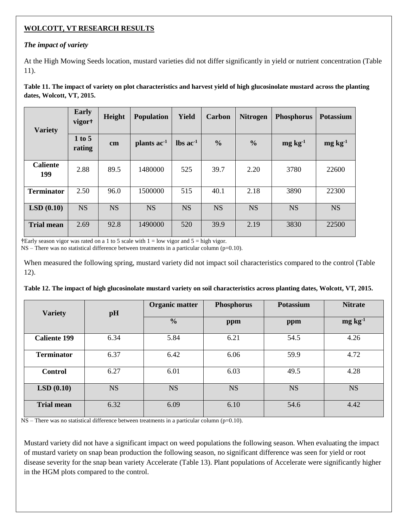## **WOLCOTT, VT RESEARCH RESULTS**

## *The impact of variety*

At the High Mowing Seeds location, mustard varieties did not differ significantly in yield or nutrient concentration (Table 11).

**Table 11. The impact of variety on plot characteristics and harvest yield of high glucosinolate mustard across the planting dates, Wolcott, VT, 2015.** 

| <b>Variety</b>         | <b>Early</b><br>vigor <sup>+</sup> | Height    | <b>Population</b>       | Yield                         | Carbon        | <b>Nitrogen</b> | <b>Phosphorus</b> | <b>Potassium</b> |
|------------------------|------------------------------------|-----------|-------------------------|-------------------------------|---------------|-----------------|-------------------|------------------|
|                        | 1 to 5<br>$\mathbf{cm}$<br>rating  |           | plants ac <sup>-1</sup> | $\text{lbs}$ ac <sup>-1</sup> | $\frac{0}{0}$ | $\frac{6}{9}$   | $mg \, kg^{-1}$   | $mg \, kg^{-1}$  |
| <b>Caliente</b><br>199 | 2.88                               | 89.5      | 1480000                 | 525                           | 39.7          | 2.20            | 3780              | 22600            |
| <b>Terminator</b>      | 2.50                               | 96.0      | 1500000                 | 515                           | 40.1          | 2.18            | 3890              | 22300            |
| LSD(0.10)              | <b>NS</b>                          | <b>NS</b> | <b>NS</b>               | <b>NS</b>                     | <b>NS</b>     | <b>NS</b>       | <b>NS</b>         | <b>NS</b>        |
| <b>Trial mean</b>      | 2.69                               | 92.8      | 1490000                 | 520                           | 39.9          | 2.19            | 3830              | 22500            |

**†**Early season vigor was rated on a 1 to 5 scale with 1 = low vigor and 5 = high vigor.

 $NS$  – There was no statistical difference between treatments in a particular column (p=0.10).

When measured the following spring, mustard variety did not impact soil characteristics compared to the control (Table 12).

| <b>Variety</b>      | pH        | <b>Organic matter</b><br><b>Phosphorus</b> |           | <b>Potassium</b> | <b>Nitrate</b>  |  |
|---------------------|-----------|--------------------------------------------|-----------|------------------|-----------------|--|
|                     |           | $\frac{6}{6}$                              | ppm       | ppm              | $mg \, kg^{-1}$ |  |
| <b>Caliente 199</b> | 6.34      | 5.84                                       | 6.21      | 54.5             | 4.26            |  |
| <b>Terminator</b>   | 6.37      | 6.42                                       | 6.06      | 59.9             | 4.72            |  |
| <b>Control</b>      | 6.27      | 6.01                                       | 6.03      | 49.5             | 4.28            |  |
| LSD(0.10)           | <b>NS</b> | <b>NS</b>                                  | <b>NS</b> | <b>NS</b>        | <b>NS</b>       |  |
| <b>Trial mean</b>   | 6.32      | 6.09                                       | 6.10      | 54.6             | 4.42            |  |

**Table 12. The impact of high glucosinolate mustard variety on soil characteristics across planting dates, Wolcott, VT, 2015.** 

NS – There was no statistical difference between treatments in a particular column (p=0.10).

Mustard variety did not have a significant impact on weed populations the following season. When evaluating the impact of mustard variety on snap bean production the following season, no significant difference was seen for yield or root disease severity for the snap bean variety Accelerate (Table 13). Plant populations of Accelerate were significantly higher in the HGM plots compared to the control.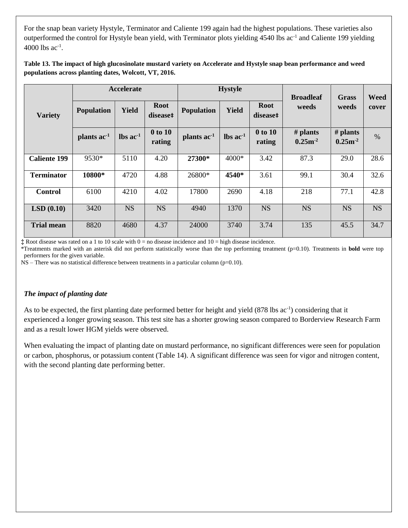For the snap bean variety Hystyle, Terminator and Caliente 199 again had the highest populations. These varieties also outperformed the control for Hystyle bean yield, with Terminator plots yielding 4540 lbs ac<sup>-1</sup> and Caliente 199 yielding  $4000$  lbs ac<sup>-1</sup>.

### **Table 13. The impact of high glucosinolate mustard variety on Accelerate and Hystyle snap bean performance and weed populations across planting dates, Wolcott, VT, 2016.**

|                     |                         | <b>Accelerate</b>             |                         |                   | <b>Hystyle</b>                |                         | <b>Broadleaf</b>         | <b>Grass</b>             | Weed      |
|---------------------|-------------------------|-------------------------------|-------------------------|-------------------|-------------------------------|-------------------------|--------------------------|--------------------------|-----------|
| <b>Variety</b>      | <b>Population</b>       | <b>Yield</b>                  | <b>Root</b><br>disease# | <b>Population</b> | Yield                         | <b>Root</b><br>disease# | weeds                    | weeds                    | cover     |
|                     | plants ac <sup>-1</sup> | $\text{lbs}$ ac <sup>-1</sup> | 0 to 10<br>rating       | plants $ac^{-1}$  | $\text{lbs}$ ac <sup>-1</sup> | 0 to 10<br>rating       | $#$ plants<br>$0.25 m-2$ | # plants<br>$0.25m^{-2}$ | $\%$      |
| <b>Caliente 199</b> | 9530*                   | 5110                          | 4.20                    | 27300*            | 4000*                         | 3.42                    | 87.3                     | 29.0                     | 28.6      |
| <b>Terminator</b>   | 10800*                  | 4720                          | 4.88                    | 26800*            | 4540*                         | 3.61                    | 99.1                     | 30.4                     | 32.6      |
| <b>Control</b>      | 6100                    | 4210                          | 4.02                    | 17800             | 2690                          | 4.18                    | 218                      | 77.1                     | 42.8      |
| LSD(0.10)           | 3420                    | <b>NS</b>                     | <b>NS</b>               | 4940              | 1370                          | <b>NS</b>               | <b>NS</b>                | <b>NS</b>                | <b>NS</b> |
| <b>Trial mean</b>   | 8820                    | 4680                          | 4.37                    | 24000             | 3740                          | 3.74                    | 135                      | 45.5                     | 34.7      |

**‡** Root disease was rated on a 1 to 10 scale with 0 = no disease incidence and 10 = high disease incidence.

\*Treatments marked with an asterisk did not perform statistically worse than the top performing treatment (p=0.10). Treatments in **bold** were top performers for the given variable.

NS – There was no statistical difference between treatments in a particular column (p=0.10).

#### *The impact of planting date*

As to be expected, the first planting date performed better for height and yield (878 lbs ac<sup>-1</sup>) considering that it experienced a longer growing season. This test site has a shorter growing season compared to Borderview Research Farm and as a result lower HGM yields were observed.

When evaluating the impact of planting date on mustard performance, no significant differences were seen for population or carbon, phosphorus, or potassium content (Table 14). A significant difference was seen for vigor and nitrogen content, with the second planting date performing better.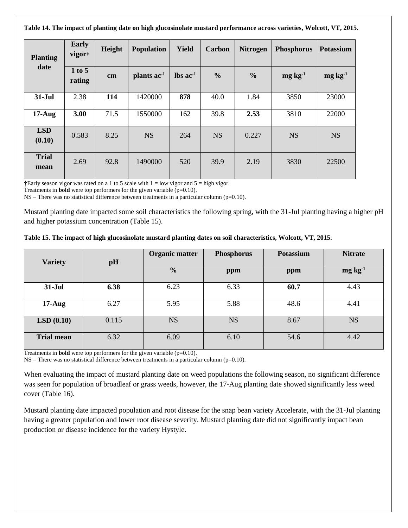**Table 14. The impact of planting date on high glucosinolate mustard performance across varieties, Wolcott, VT, 2015.** 

| <b>Planting</b>      | <b>Early</b><br>vigor <sup>+</sup> | Height | <b>Population</b> | <b>Yield</b>                  | Carbon        | <b>Nitrogen</b> | <b>Phosphorus</b> | <b>Potassium</b> |
|----------------------|------------------------------------|--------|-------------------|-------------------------------|---------------|-----------------|-------------------|------------------|
| date                 | 1 to 5<br>cm<br>rating             |        | plants $ac^{-1}$  | $\text{lbs}$ ac <sup>-1</sup> | $\frac{6}{6}$ | $\frac{0}{0}$   | $mg \, kg^{-1}$   | $mg \, kg^{-1}$  |
| $31-Jul$             | 2.38                               | 114    | 1420000           | 878                           | 40.0          | 1.84            | 3850              | 23000            |
| $17-Aug$             | 3.00                               | 71.5   | 1550000           | 162                           | 39.8          | 2.53            | 3810              | 22000            |
| <b>LSD</b><br>(0.10) | 0.583                              | 8.25   | <b>NS</b>         | 264                           | <b>NS</b>     | 0.227           | <b>NS</b>         | <b>NS</b>        |
| <b>Trial</b><br>mean | 2.69                               | 92.8   | 1490000           | 520                           | 39.9          | 2.19            | 3830              | 22500            |

**†**Early season vigor was rated on a 1 to 5 scale with 1 = low vigor and 5 = high vigor.

Treatments in **bold** were top performers for the given variable (p=0.10).

NS – There was no statistical difference between treatments in a particular column (p=0.10).

Mustard planting date impacted some soil characteristics the following spring, with the 31-Jul planting having a higher pH and higher potassium concentration (Table 15).

| Table 15. The impact of high glucosinolate mustard planting dates on soil characteristics, Wolcott, VT, 2015. |  |  |  |
|---------------------------------------------------------------------------------------------------------------|--|--|--|
|                                                                                                               |  |  |  |

| <b>Variety</b>    | pH    | <b>Organic matter</b><br><b>Phosphorus</b> |           | <b>Potassium</b> | <b>Nitrate</b>  |  |
|-------------------|-------|--------------------------------------------|-----------|------------------|-----------------|--|
|                   |       | $\frac{6}{6}$                              | ppm       | ppm              | $mg \, kg^{-1}$ |  |
| $31-Jul$          | 6.38  | 6.23                                       | 6.33      | 60.7             | 4.43            |  |
| $17-Aug$          | 6.27  | 5.95                                       | 5.88      | 48.6             | 4.41            |  |
| LSD(0.10)         | 0.115 | <b>NS</b>                                  | <b>NS</b> | 8.67             | <b>NS</b>       |  |
| <b>Trial mean</b> | 6.32  | 6.09                                       | 6.10      | 54.6             | 4.42            |  |

Treatments in **bold** were top performers for the given variable (p=0.10).

NS – There was no statistical difference between treatments in a particular column (p=0.10).

When evaluating the impact of mustard planting date on weed populations the following season, no significant difference was seen for population of broadleaf or grass weeds, however, the 17-Aug planting date showed significantly less weed cover (Table 16).

Mustard planting date impacted population and root disease for the snap bean variety Accelerate, with the 31-Jul planting having a greater population and lower root disease severity. Mustard planting date did not significantly impact bean production or disease incidence for the variety Hystyle.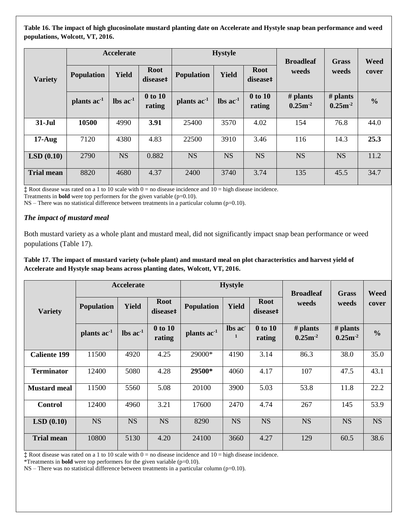**Table 16. The impact of high glucosinolate mustard planting date on Accelerate and Hystyle snap bean performance and weed populations, Wolcott, VT, 2016.** 

|                   |                         | Accelerate                    |                         | <b>Hystyle</b>    |                               |                         | <b>Broadleaf</b>           | Grass                      | Weed          |
|-------------------|-------------------------|-------------------------------|-------------------------|-------------------|-------------------------------|-------------------------|----------------------------|----------------------------|---------------|
| <b>Variety</b>    | <b>Population</b>       | Yield                         | <b>Root</b><br>disease‡ | <b>Population</b> | <b>Yield</b>                  | <b>Root</b><br>disease# | weeds                      | weeds                      | cover         |
|                   | plants ac <sup>-1</sup> | $\text{lbs}$ ac <sup>-1</sup> | 0 to 10<br>rating       | plants $ac^{-1}$  | $\text{lbs}$ ac <sup>-1</sup> | 0 to 10<br>rating       | $#$ plants<br>$0.25m^{-2}$ | $#$ plants<br>$0.25m^{-2}$ | $\frac{0}{0}$ |
| $31-Jul$          | 10500                   | 4990                          | 3.91                    | 25400             | 3570                          | 4.02                    | 154                        | 76.8                       | 44.0          |
| $17-Aug$          | 7120                    | 4380                          | 4.83                    | 22500             | 3910                          | 3.46                    | 116                        | 14.3                       | 25.3          |
| LSD(0.10)         | 2790                    | <b>NS</b>                     | 0.882                   | <b>NS</b>         | <b>NS</b>                     | <b>NS</b>               | <b>NS</b>                  | <b>NS</b>                  | 11.2          |
| <b>Trial mean</b> | 8820                    | 4680                          | 4.37                    | 2400              | 3740                          | 3.74                    | 135                        | 45.5                       | 34.7          |

**‡** Root disease was rated on a 1 to 10 scale with 0 = no disease incidence and 10 = high disease incidence.

Treatments in **bold** were top performers for the given variable (p=0.10).

 $NS$  – There was no statistical difference between treatments in a particular column ( $p=0.10$ ).

#### *The impact of mustard meal*

Both mustard variety as a whole plant and mustard meal, did not significantly impact snap bean performance or weed populations (Table 17).

**Table 17. The impact of mustard variety (whole plant) and mustard meal on plot characteristics and harvest yield of Accelerate and Hystyle snap beans across planting dates, Wolcott, VT, 2016.** 

|                     |                   | Accelerate                    |                         |                         | <b>Hystyle</b> |                         | <b>Broadleaf</b>           | Grass                    | Weed          |
|---------------------|-------------------|-------------------------------|-------------------------|-------------------------|----------------|-------------------------|----------------------------|--------------------------|---------------|
| <b>Variety</b>      | <b>Population</b> | <b>Yield</b>                  | <b>Root</b><br>disease‡ | <b>Population</b>       | Yield          | <b>Root</b><br>disease# | weeds                      | weeds                    | cover         |
|                     | plants $ac-1$     | $\text{lbs}$ ac <sup>-1</sup> | 0 to 10<br>rating       | plants ac <sup>-1</sup> | lbs ac         | 0 to 10<br>rating       | $#$ plants<br>$0.25m^{-2}$ | # plants<br>$0.25m^{-2}$ | $\frac{0}{0}$ |
| <b>Caliente 199</b> | 11500             | 4920                          | 4.25                    | 29000*                  | 4190           | 3.14                    | 86.3                       | 38.0                     | 35.0          |
| <b>Terminator</b>   | 12400             | 5080                          | 4.28                    | 29500*                  | 4060           | 4.17                    | 107                        | 47.5                     | 43.1          |
| <b>Mustard meal</b> | 11500             | 5560                          | 5.08                    | 20100                   | 3900           | 5.03                    | 53.8                       | 11.8                     | 22.2          |
| <b>Control</b>      | 12400             | 4960                          | 3.21                    | 17600                   | 2470           | 4.74                    | 267                        | 145                      | 53.9          |
| LSD(0.10)           | <b>NS</b>         | <b>NS</b>                     | <b>NS</b>               | 8290                    | <b>NS</b>      | <b>NS</b>               | <b>NS</b>                  | <b>NS</b>                | <b>NS</b>     |
| <b>Trial mean</b>   | 10800             | 5130                          | 4.20                    | 24100                   | 3660           | 4.27                    | 129                        | 60.5                     | 38.6          |

**‡** Root disease was rated on a 1 to 10 scale with 0 = no disease incidence and 10 = high disease incidence.

\*Treatments in **bold** were top performers for the given variable (p=0.10).

NS – There was no statistical difference between treatments in a particular column (p=0.10).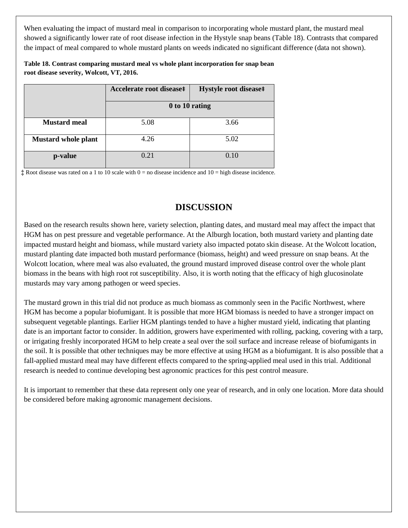When evaluating the impact of mustard meal in comparison to incorporating whole mustard plant, the mustard meal showed a significantly lower rate of root disease infection in the Hystyle snap beans (Table 18). Contrasts that compared the impact of meal compared to whole mustard plants on weeds indicated no significant difference (data not shown).

**Table 18. Contrast comparing mustard meal vs whole plant incorporation for snap bean root disease severity, Wolcott, VT, 2016.** 

|                            | Accelerate root disease# | Hystyle root disease‡ |  |  |  |  |  |
|----------------------------|--------------------------|-----------------------|--|--|--|--|--|
|                            | 0 to 10 rating           |                       |  |  |  |  |  |
| <b>Mustard meal</b>        | 5.08                     | 3.66                  |  |  |  |  |  |
| <b>Mustard whole plant</b> | 4.26                     | 5.02                  |  |  |  |  |  |
| p-value                    | 0.21                     | 0.10                  |  |  |  |  |  |

**‡** Root disease was rated on a 1 to 10 scale with 0 = no disease incidence and 10 = high disease incidence.

# **DISCUSSION**

Based on the research results shown here, variety selection, planting dates, and mustard meal may affect the impact that HGM has on pest pressure and vegetable performance. At the Alburgh location, both mustard variety and planting date impacted mustard height and biomass, while mustard variety also impacted potato skin disease. At the Wolcott location, mustard planting date impacted both mustard performance (biomass, height) and weed pressure on snap beans. At the Wolcott location, where meal was also evaluated, the ground mustard improved disease control over the whole plant biomass in the beans with high root rot susceptibility. Also, it is worth noting that the efficacy of high glucosinolate mustards may vary among pathogen or weed species.

The mustard grown in this trial did not produce as much biomass as commonly seen in the Pacific Northwest, where HGM has become a popular biofumigant. It is possible that more HGM biomass is needed to have a stronger impact on subsequent vegetable plantings. Earlier HGM plantings tended to have a higher mustard yield, indicating that planting date is an important factor to consider. In addition, growers have experimented with rolling, packing, covering with a tarp, or irrigating freshly incorporated HGM to help create a seal over the soil surface and increase release of biofumigants in the soil. It is possible that other techniques may be more effective at using HGM as a biofumigant. It is also possible that a fall-applied mustard meal may have different effects compared to the spring-applied meal used in this trial. Additional research is needed to continue developing best agronomic practices for this pest control measure.

It is important to remember that these data represent only one year of research, and in only one location. More data should be considered before making agronomic management decisions.